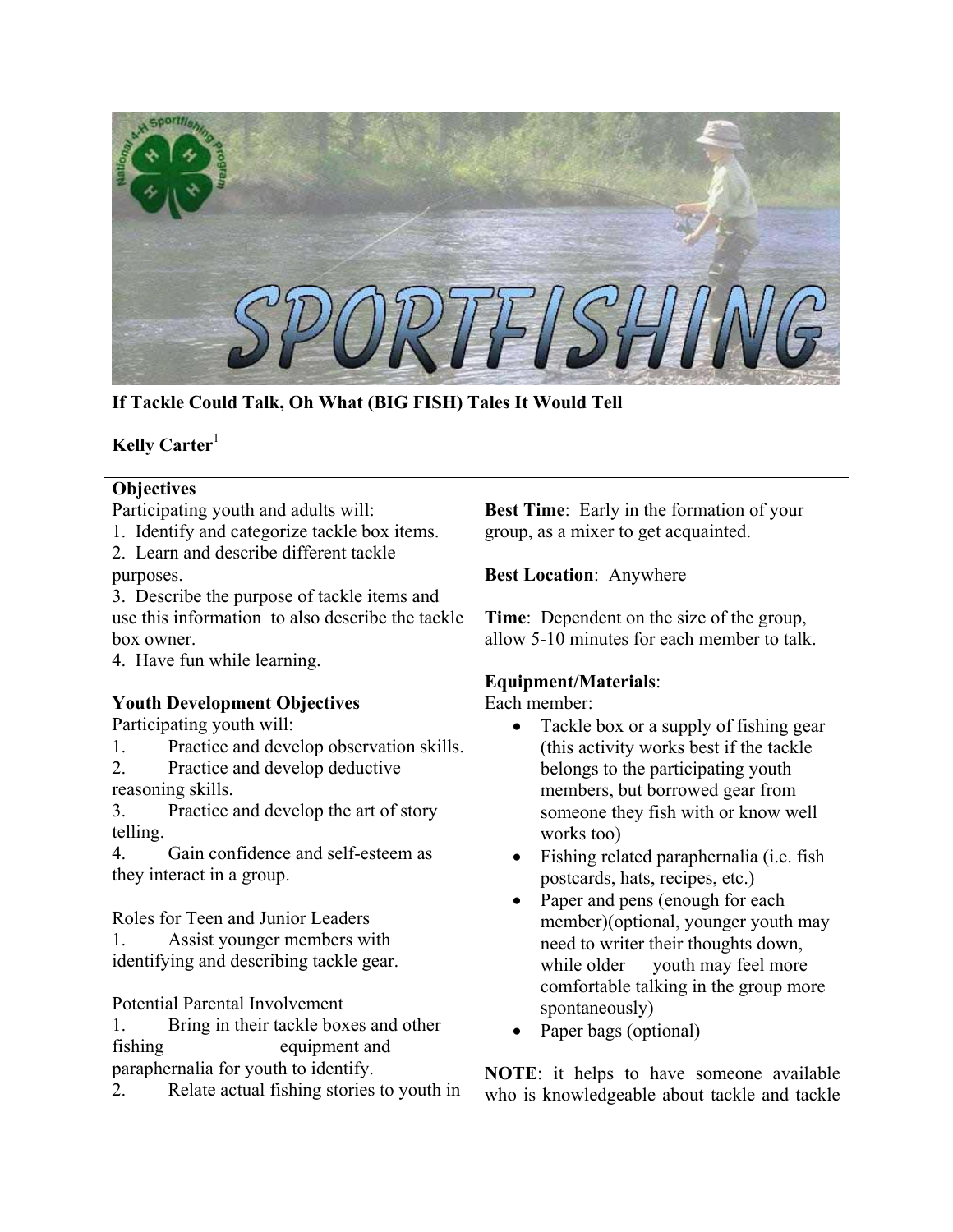

**If Tackle Could Talk, Oh What (BIG FISH) Tales It Would Tell**

# **Kelly Carter** 1

| Objectives                                       |                                                  |
|--------------------------------------------------|--------------------------------------------------|
| Participating youth and adults will:             | <b>Best Time:</b> Early in the formation of your |
| 1. Identify and categorize tackle box items.     | group, as a mixer to get acquainted.             |
| 2. Learn and describe different tackle           |                                                  |
| purposes.                                        | <b>Best Location: Anywhere</b>                   |
| 3. Describe the purpose of tackle items and      |                                                  |
| use this information to also describe the tackle | Time: Dependent on the size of the group,        |
| box owner.                                       | allow 5-10 minutes for each member to talk.      |
| 4. Have fun while learning.                      |                                                  |
|                                                  | <b>Equipment/Materials:</b>                      |
| <b>Youth Development Objectives</b>              | Each member:                                     |
| Participating youth will:                        | Tackle box or a supply of fishing gear           |
| Practice and develop observation skills.<br>1.   | (this activity works best if the tackle          |
| 2.<br>Practice and develop deductive             | belongs to the participating youth               |
| reasoning skills.                                | members, but borrowed gear from                  |
| Practice and develop the art of story<br>3.      | someone they fish with or know well              |
| telling.                                         | works too)                                       |
| Gain confidence and self-esteem as<br>4.         | Fishing related paraphernalia (i.e. fish         |
| they interact in a group.                        | postcards, hats, recipes, etc.)                  |
|                                                  | Paper and pens (enough for each<br>$\bullet$     |
| Roles for Teen and Junior Leaders                | member)(optional, younger youth may              |
| Assist younger members with                      | need to writer their thoughts down,              |
| identifying and describing tackle gear.          | youth may feel more<br>while older               |
|                                                  | comfortable talking in the group more            |
| Potential Parental Involvement                   | spontaneously)                                   |
| Bring in their tackle boxes and other            | Paper bags (optional)                            |
| equipment and<br>fishing                         |                                                  |
| paraphernalia for youth to identify.             | <b>NOTE:</b> it helps to have someone available  |
| 2.<br>Relate actual fishing stories to youth in  | who is knowledgeable about tackle and tackle     |
|                                                  |                                                  |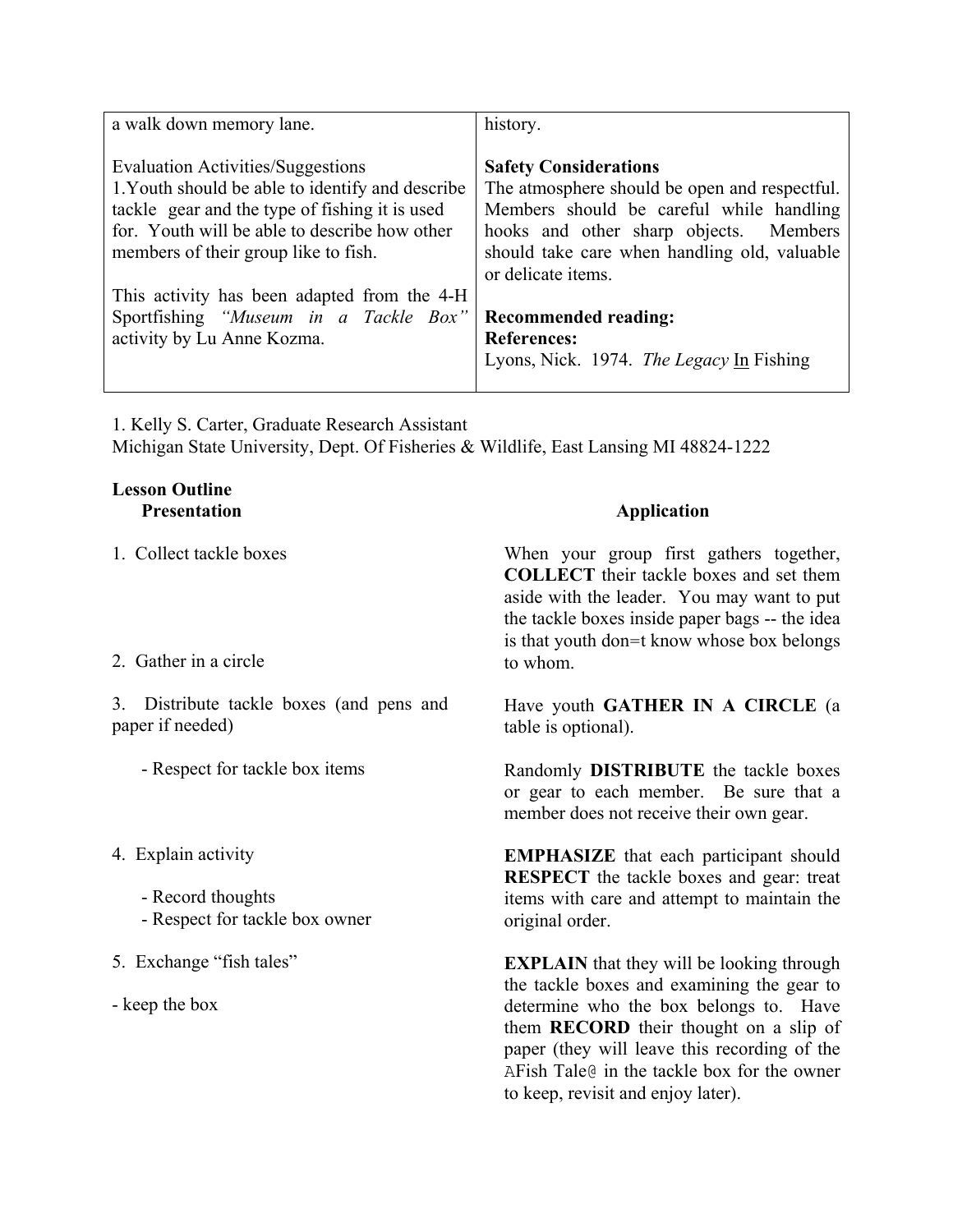| a walk down memory lane.                                                                                                                                                                                                                                                                                                                               | history.                                                                                                                                                                                                                                                                                                                                   |
|--------------------------------------------------------------------------------------------------------------------------------------------------------------------------------------------------------------------------------------------------------------------------------------------------------------------------------------------------------|--------------------------------------------------------------------------------------------------------------------------------------------------------------------------------------------------------------------------------------------------------------------------------------------------------------------------------------------|
| Evaluation Activities/Suggestions<br>1. Youth should be able to identify and describe<br>tackle gear and the type of fishing it is used<br>for. Youth will be able to describe how other<br>members of their group like to fish.<br>This activity has been adapted from the 4-H<br>Sportfishing "Museum in a Tackle Box"<br>activity by Lu Anne Kozma. | <b>Safety Considerations</b><br>The atmosphere should be open and respectful.<br>Members should be careful while handling<br>hooks and other sharp objects. Members<br>should take care when handling old, valuable<br>or delicate items.<br><b>Recommended reading:</b><br><b>References:</b><br>Lyons, Nick. 1974. The Legacy In Fishing |

1. Kelly S. Carter, Graduate Research Assistant Michigan State University, Dept. Of Fisheries & Wildlife, East Lansing MI 48824-1222

## **Lesson Outline Presentation**

1. Collect tackle boxes

## 2. Gather in a circle

3. Distribute tackle boxes (and pens and paper if needed)

- Respect for tackle box items
- 4. Explain activity
	- Record thoughts
	- Respect for tackle box owner
- 5. Exchange "fish tales"
- keep the box

# **Application**

When your group first gathers together, **COLLECT** their tackle boxes and set them aside with the leader. You may want to put the tackle boxes inside paper bags -- the idea is that youth don=t know whose box belongs to whom.

Have youth **GATHER IN A CIRCLE** (a table is optional).

Randomly **DISTRIBUTE** the tackle boxes or gear to each member. Be sure that a member does not receive their own gear.

**EMPHASIZE** that each participant should **RESPECT** the tackle boxes and gear: treat items with care and attempt to maintain the original order.

**EXPLAIN** that they will be looking through the tackle boxes and examining the gear to determine who the box belongs to. Have them **RECORD** their thought on a slip of paper (they will leave this recording of the AFish Tale@ in the tackle box for the owner to keep, revisit and enjoy later).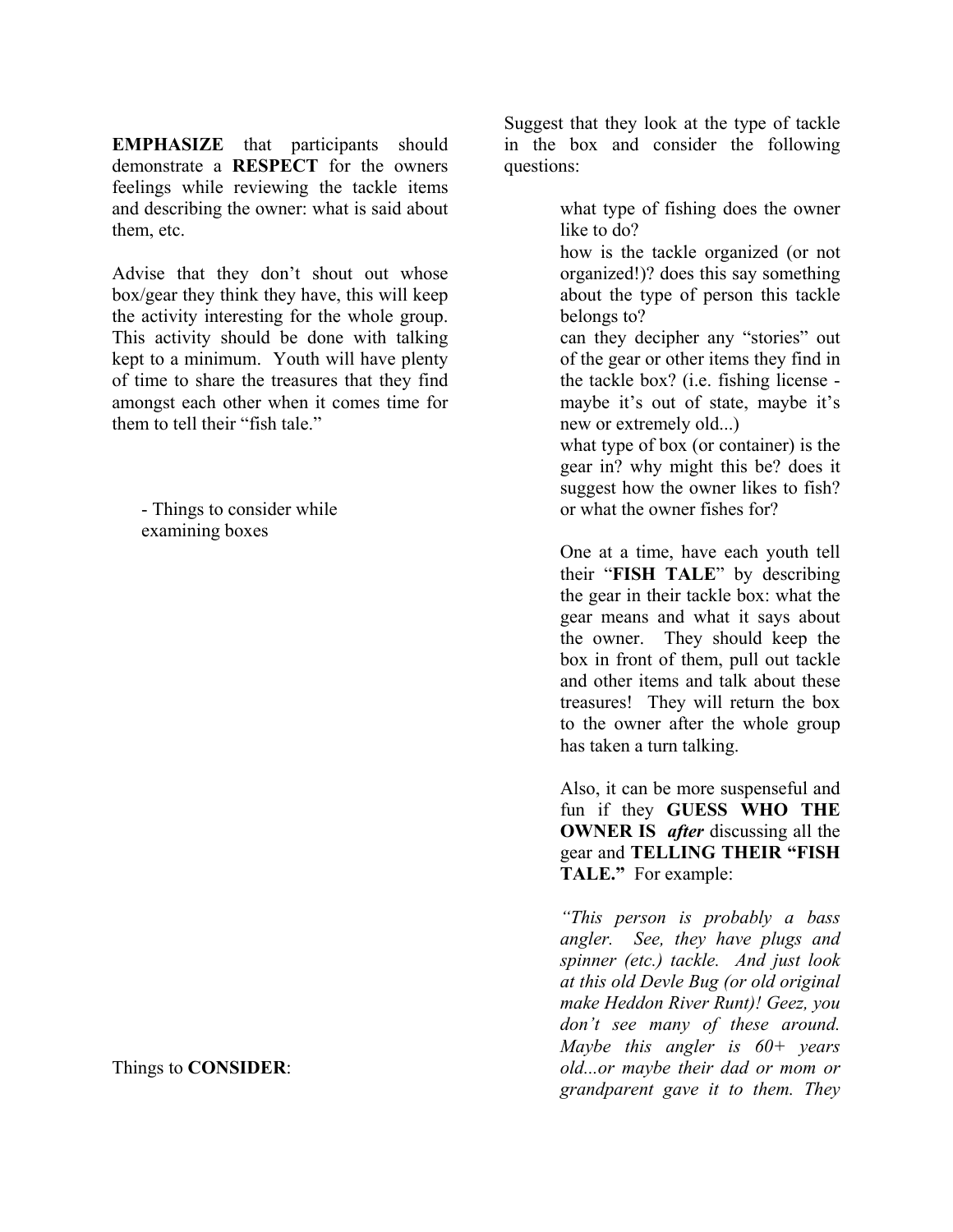**EMPHASIZE** that participants should demonstrate a **RESPECT** for the owners feelings while reviewing the tackle items and describing the owner: what is said about them, etc.

Advise that they don't shout out whose box/gear they think they have, this will keep the activity interesting for the whole group. This activity should be done with talking kept to a minimum. Youth will have plenty of time to share the treasures that they find amongst each other when it comes time for them to tell their "fish tale."

- Things to consider while examining boxes

Things to **CONSIDER**:

Suggest that they look at the type of tackle in the box and consider the following questions:

> what type of fishing does the owner like to do?

 how is the tackle organized (or not organized!)? does this say something about the type of person this tackle belongs to?

 can they decipher any "stories" out of the gear or other items they find in the tackle box? (i.e. fishing license maybe it's out of state, maybe it's new or extremely old...)

 what type of box (or container) is the gear in? why might this be? does it suggest how the owner likes to fish? or what the owner fishes for?

One at a time, have each youth tell their "**FISH TALE**" by describing the gear in their tackle box: what the gear means and what it says about the owner. They should keep the box in front of them, pull out tackle and other items and talk about these treasures! They will return the box to the owner after the whole group has taken a turn talking.

Also, it can be more suspenseful and fun if they **GUESS WHO THE OWNER IS** *after* discussing all the gear and **TELLING THEIR "FISH TALE."** For example:

*"This person is probably a bass angler. See, they have plugs and spinner (etc.) tackle. And just look at this old Devle Bug (or old original make Heddon River Runt)! Geez, you don't see many of these around. Maybe this angler is 60+ years old...or maybe their dad or mom or grandparent gave it to them. They*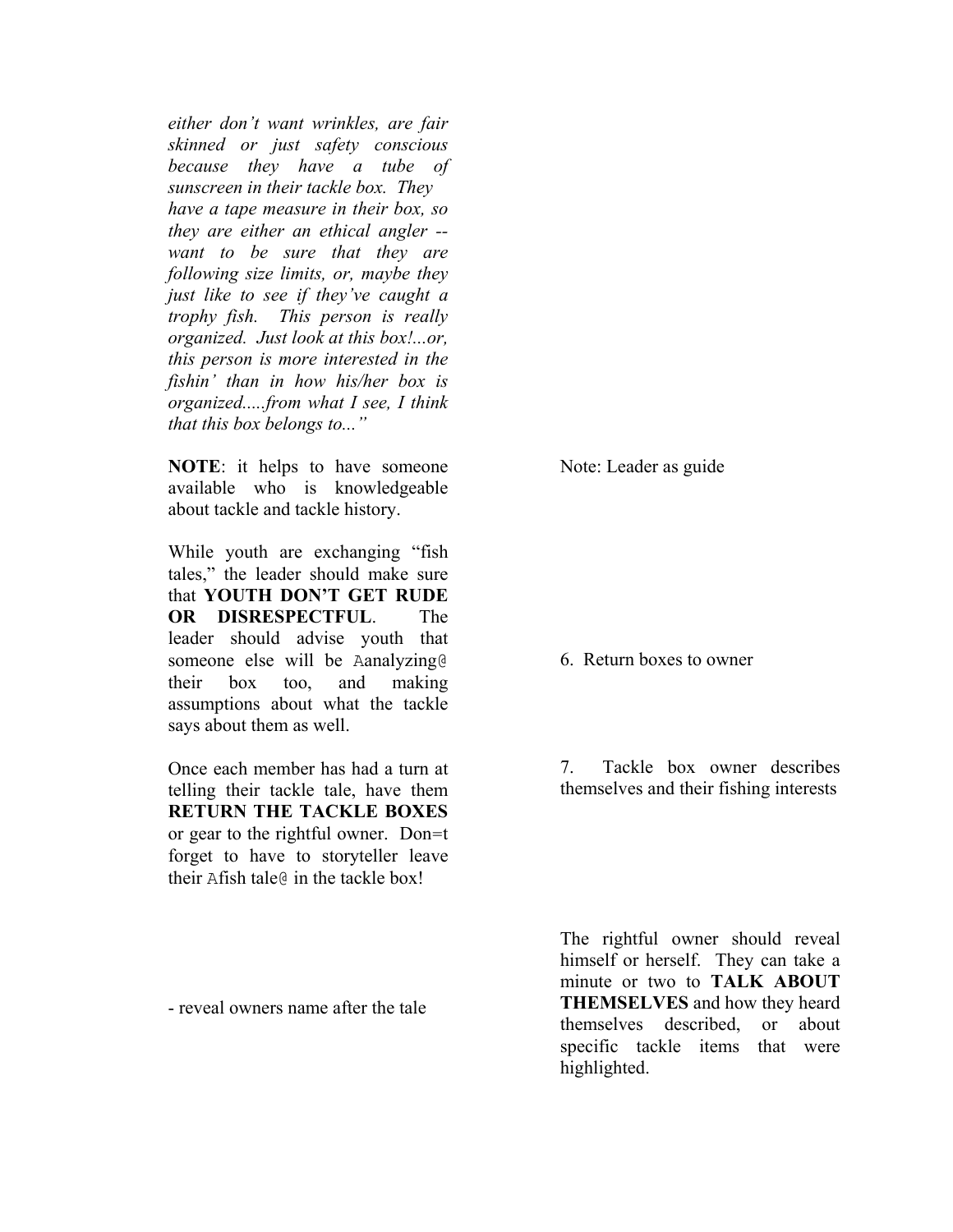*either don't want wrinkles, are fair skinned or just safety conscious because they have a tube of sunscreen in their tackle box. They have a tape measure in their box, so they are either an ethical angler - want to be sure that they are following size limits, or, maybe they just like to see if they've caught a trophy fish. This person is really organized. Just look at this box!...or, this person is more interested in the fishin' than in how his/her box is organized.....from what I see, I think that this box belongs to..."* 

**NOTE**: it helps to have someone available who is knowledgeable about tackle and tackle history.

While youth are exchanging "fish tales," the leader should make sure that **YOUTH DON'T GET RUDE OR DISRESPECTFUL**. The leader should advise youth that someone else will be Aanalyzing@ their box too, and making assumptions about what the tackle says about them as well.

Once each member has had a turn at telling their tackle tale, have them **RETURN THE TACKLE BOXES** or gear to the rightful owner. Don=t forget to have to storyteller leave their Afish tale@ in the tackle box!

- reveal owners name after the tale

Note: Leader as guide

#### 6. Return boxes to owner

7. Tackle box owner describes themselves and their fishing interests

The rightful owner should reveal himself or herself. They can take a minute or two to **TALK ABOUT THEMSELVES** and how they heard themselves described, or about specific tackle items that were highlighted.